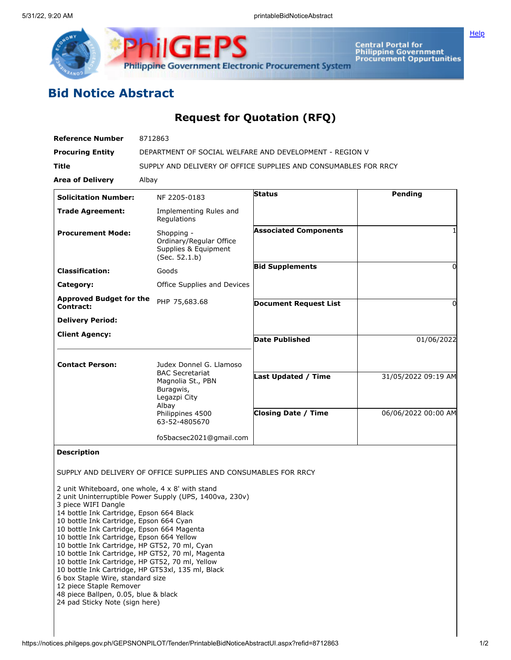



**Central Portal for<br>Philippine Government<br>Procurement Oppurtunities** 

## **Bid Notice Abstract**

## **Request for Quotation (RFQ)**

| <b>Reference Number</b>                                                                                                                                                                                                                                                                                                                                                                         | 8712863                                                                                                                                                                                                                                                                |                              |                     |
|-------------------------------------------------------------------------------------------------------------------------------------------------------------------------------------------------------------------------------------------------------------------------------------------------------------------------------------------------------------------------------------------------|------------------------------------------------------------------------------------------------------------------------------------------------------------------------------------------------------------------------------------------------------------------------|------------------------------|---------------------|
| <b>Procuring Entity</b>                                                                                                                                                                                                                                                                                                                                                                         | DEPARTMENT OF SOCIAL WELFARE AND DEVELOPMENT - REGION V                                                                                                                                                                                                                |                              |                     |
| Title                                                                                                                                                                                                                                                                                                                                                                                           | SUPPLY AND DELIVERY OF OFFICE SUPPLIES AND CONSUMABLES FOR RRCY                                                                                                                                                                                                        |                              |                     |
| <b>Area of Delivery</b>                                                                                                                                                                                                                                                                                                                                                                         | Albay                                                                                                                                                                                                                                                                  |                              |                     |
| <b>Solicitation Number:</b>                                                                                                                                                                                                                                                                                                                                                                     | NF 2205-0183                                                                                                                                                                                                                                                           | <b>Status</b>                | Pending             |
| <b>Trade Agreement:</b>                                                                                                                                                                                                                                                                                                                                                                         | Implementing Rules and<br>Regulations                                                                                                                                                                                                                                  |                              |                     |
| <b>Procurement Mode:</b>                                                                                                                                                                                                                                                                                                                                                                        | Shopping -<br>Ordinary/Regular Office<br>Supplies & Equipment<br>(Sec. 52.1.b)                                                                                                                                                                                         | <b>Associated Components</b> |                     |
| <b>Classification:</b>                                                                                                                                                                                                                                                                                                                                                                          | Goods                                                                                                                                                                                                                                                                  | <b>Bid Supplements</b>       | 0                   |
| Category:                                                                                                                                                                                                                                                                                                                                                                                       | Office Supplies and Devices                                                                                                                                                                                                                                            |                              |                     |
| <b>Approved Budget for the</b><br>Contract:                                                                                                                                                                                                                                                                                                                                                     | PHP 75,683.68                                                                                                                                                                                                                                                          | <b>Document Request List</b> | 0                   |
| <b>Delivery Period:</b>                                                                                                                                                                                                                                                                                                                                                                         |                                                                                                                                                                                                                                                                        |                              |                     |
| <b>Client Agency:</b>                                                                                                                                                                                                                                                                                                                                                                           |                                                                                                                                                                                                                                                                        | <b>Date Published</b>        | 01/06/2022          |
|                                                                                                                                                                                                                                                                                                                                                                                                 |                                                                                                                                                                                                                                                                        |                              |                     |
| <b>Contact Person:</b>                                                                                                                                                                                                                                                                                                                                                                          | Judex Donnel G. Llamoso<br><b>BAC Secretariat</b>                                                                                                                                                                                                                      |                              |                     |
|                                                                                                                                                                                                                                                                                                                                                                                                 | Magnolia St., PBN<br>Buragwis,<br>Legazpi City                                                                                                                                                                                                                         | <b>Last Updated / Time</b>   | 31/05/2022 09:19 AM |
|                                                                                                                                                                                                                                                                                                                                                                                                 | Albay<br>Philippines 4500<br>63-52-4805670                                                                                                                                                                                                                             | <b>Closing Date / Time</b>   | 06/06/2022 00:00 AM |
|                                                                                                                                                                                                                                                                                                                                                                                                 | fo5bacsec2021@gmail.com                                                                                                                                                                                                                                                |                              |                     |
| <b>Description</b>                                                                                                                                                                                                                                                                                                                                                                              |                                                                                                                                                                                                                                                                        |                              |                     |
|                                                                                                                                                                                                                                                                                                                                                                                                 | SUPPLY AND DELIVERY OF OFFICE SUPPLIES AND CONSUMABLES FOR RRCY                                                                                                                                                                                                        |                              |                     |
| 3 piece WIFI Dangle<br>14 bottle Ink Cartridge, Epson 664 Black<br>10 bottle Ink Cartridge, Epson 664 Cyan<br>10 bottle Ink Cartridge, Epson 664 Magenta<br>10 bottle Ink Cartridge, Epson 664 Yellow<br>10 bottle Ink Cartridge, HP GT52, 70 ml, Cyan<br>6 box Staple Wire, standard size<br>12 piece Staple Remover<br>48 piece Ballpen, 0.05, blue & black<br>24 pad Sticky Note (sign here) | 2 unit Whiteboard, one whole, 4 x 8' with stand<br>2 unit Uninterruptible Power Supply (UPS, 1400va, 230v)<br>10 bottle Ink Cartridge, HP GT52, 70 ml, Magenta<br>10 bottle Ink Cartridge, HP GT52, 70 ml, Yellow<br>10 bottle Ink Cartridge, HP GT53xl, 135 ml, Black |                              |                     |